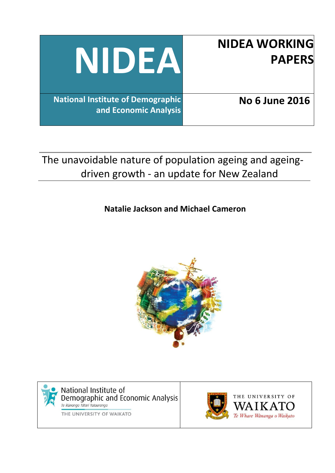| <b>NIDEA WORKING</b><br><b>PAPERS</b> | NIDEA                                                             |
|---------------------------------------|-------------------------------------------------------------------|
| <b>No 6 June 2016</b>                 | <b>National Institute of Demographic</b><br>and Economic Analysis |

# The unavoidable nature of population ageing and ageingdriven growth - an update for New Zealand

# **Natalie Jackson and Michael Cameron**



National Institute of<br>Demographic and Economic Analysis<br>Ie Runanga Tatari Tatauranga

THE UNIVERSITY OF WAIKATO

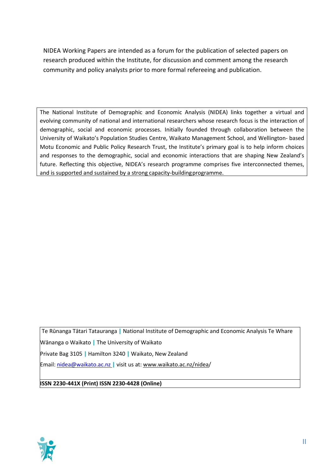NIDEA Working Papers are intended as a forum for the publication of selected papers on research produced within the Institute, for discussion and comment among the research community and policy analysts prior to more formal refereeing and publication.

The National Institute of Demographic and Economic Analysis (NIDEA) links together a virtual and evolving community of national and international researchers whose research focus is the interaction of demographic, social and economic processes. Initially founded through collaboration between the University of Waikato's Population Studies Centre, Waikato Management School, and Wellington- based Motu Economic and Public Policy Research Trust, the Institute's primary goal is to help inform choices and responses to the demographic, social and economic interactions that are shaping New Zealand's future. Reflecting this objective, NIDEA's research programme comprises five interconnected themes, and is supported and sustained by a strong capacity-buildingprogramme.

Te Rūnanga Tātari Tatauranga **|** National Institute of Demographic and Economic Analysis Te Whare

Wānanga o Waikato **|** The University of Waikato

Private Bag 3105 **|** Hamilton 3240 **|** Waikato, New Zealand

Email: [nidea@waikato.ac.nz](mailto:nidea@waikato.ac.nz) **|** visit us at[: www.waikato.ac.nz/nidea/](http://www.waikato.ac.nz/nidea)

#### **ISSN 2230-441X (Print) ISSN 2230-4428 (Online)**

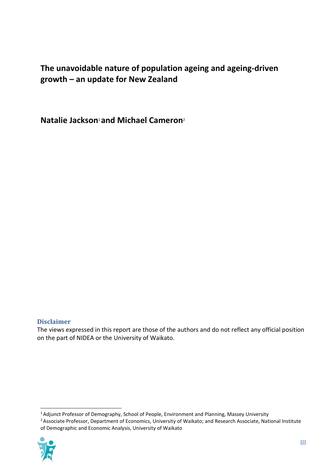# **The unavoidable nature of population ageing and ageing-driven growth – an update for New Zealand**

**Natalie Jackson**1 **and Michael Cameron**<sup>2</sup>

# **Disclaimer**

The views expressed in this report are those of the authors and do not reflect any official position on the part of NIDEA or the University of Waikato.

<sup>1</sup> Adjunct Professor of Demography, School of People, Environment and Planning, Massey University

<sup>2</sup> Associate Professor, Department of Economics, University of Waikato; and Research Associate, National Institute of Demographic and Economic Analysis, University of Waikato

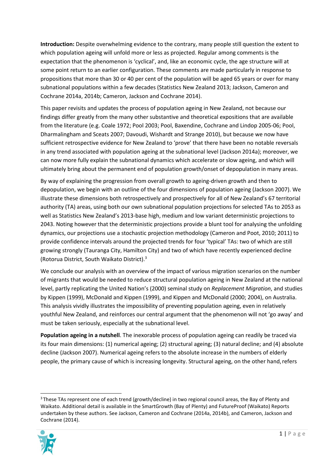**Introduction:** Despite overwhelming evidence to the contrary, many people still question the extent to which population ageing will unfold more or less as projected. Regular among comments is the expectation that the phenomenon is 'cyclical', and, like an economic cycle, the age structure will at some point return to an earlier configuration. These comments are made particularly in response to propositions that more than 30 or 40 per cent of the population will be aged 65 years or over for many subnational populations within a few decades (Statistics New Zealand 2013; Jackson, Cameron and Cochrane 2014a, 2014b; Cameron, Jackson and Cochrane 2014).

This paper revisits and updates the process of population ageing in New Zealand, not because our findings differ greatly from the many other substantive and theoretical expositions that are available from the literature (e.g. Coale 1972; Pool 2003; Pool, Baxendine, Cochrane and Lindop 2005-06; Pool, Dharmalingham and Sceats 2007; Davoudi, Wishardt and Strange 2010), but because we now have sufficient retrospective evidence for New Zealand to 'prove' that there have been no notable reversals in any trend associated with population ageing at the subnational level (Jackson 2014a); moreover, we can now more fully explain the subnational dynamics which accelerate or slow ageing, and which will ultimately bring about the permanent end of population growth/onset of depopulation in many areas.

By way of explaining the progression from overall growth to ageing-driven growth and then to depopulation, we begin with an outline of the four dimensions of population ageing (Jackson 2007). We illustrate these dimensions both retrospectively and prospectively for all of New Zealand's 67 territorial authority (TA) areas, using both our own subnational population projections for selected TAs to 2053 as well as Statistics New Zealand's 2013-base high, medium and low variant deterministic projections to 2043. Noting however that the deterministic projections provide a blunt tool for analysing the unfolding dynamics, our projections use a stochastic projection methodology (Cameron and Poot, 2010; 2011) to provide confidence intervals around the projected trends for four 'typical' TAs: two of which are still growing strongly (Tauranga City, Hamilton City) and two of which have recently experienced decline (Rotorua District, South Waikato District).3

We conclude our analysis with an overview of the impact of various migration scenarios on the number of migrants that would be needed to reduce structural population ageing in New Zealand at the national level, partly replicating the United Nation's (2000) seminal study on *Replacement Migration*, and studies by Kippen (1999), McDonald and Kippen (1999), and Kippen and McDonald (2000; 2004), on Australia. This analysis vividly illustrates the impossibility of preventing population ageing, even in relatively youthful New Zealand, and reinforces our central argument that the phenomenon will not 'go away' and must be taken seriously, especially at the subnational level.

**Population ageing in a nutshell**. The inexorable process of population ageing can readily be traced via its four main dimensions: (1) numerical ageing; (2) structural ageing; (3) natural decline; and (4) absolute decline (Jackson 2007). Numerical ageing refers to the absolute increase in the numbers of elderly people, the primary cause of which is increasing longevity. Structural ageing, on the other hand, refers

<sup>&</sup>lt;sup>3</sup> These TAs represent one of each trend (growth/decline) in two regional council areas, the Bay of Plenty and Waikato. Additional detail is available in the SmartGrowth (Bay of Plenty) and FutureProof (Waikato) Reports undertaken by these authors. See Jackson, Cameron and Cochrane (2014a, 2014b), and Cameron, Jackson and Cochrane (2014).

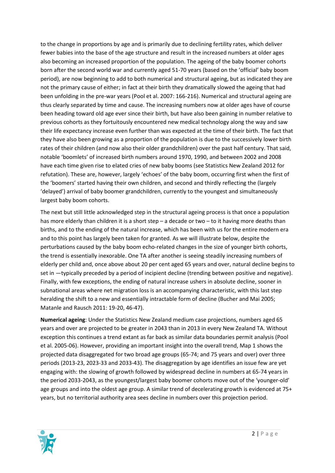to the change in proportions by age and is primarily due to declining fertility rates, which deliver fewer babies into the base of the age structure and result in the increased numbers at older ages also becoming an increased proportion of the population. The ageing of the baby boomer cohorts born after the second world war and currently aged 51-70 years (based on the 'official' baby boom period), are now beginning to add to both numerical and structural ageing, but as indicated they are not the primary cause of either; in fact at their birth they dramatically slowed the ageing that had been unfolding in the pre-war years (Pool et al. 2007: 166-216). Numerical and structural ageing are thus clearly separated by time and cause. The increasing numbers now at older ages have of course been heading toward old age ever since their birth, but have also been gaining in number relative to previous cohorts as they fortuitously encountered new medical technology along the way and saw their life expectancy increase even further than was expected at the time of their birth. The fact that they have also been growing as a proportion of the population is due to the successively lower birth rates of their children (and now also their older grandchildren) over the past half century. That said, notable 'boomlets' of increased birth numbers around 1970, 1990, and between 2002 and 2008 have each time given rise to elated cries of new baby booms (see Statistics New Zealand 2012 for refutation). These are, however, largely 'echoes' of the baby boom, occurring first when the first of the 'boomers' started having their own children, and second and thirdly reflecting the (largely 'delayed') arrival of baby boomer grandchildren, currently to the youngest and simultaneously largest baby boom cohorts.

The next but still little acknowledged step in the structural ageing process is that once a population has more elderly than children it is a short step – a decade or two – to it having more deaths than births, and to the ending of the natural increase, which has been with us for the entire modern era and to this point has largely been taken for granted. As we will illustrate below, despite the perturbations caused by the baby boom echo-related changes in the size of younger birth cohorts, the trend is essentially inexorable. One TA after another is seeing steadily increasing numbers of elderly per child and, once above about 20 per cent aged 65 years and over, natural decline begins to set in —typically preceded by a period of incipient decline (trending between positive and negative). Finally, with few exceptions, the ending of natural increase ushers in absolute decline, sooner in subnational areas where net migration loss is an accompanying characteristic, with this last step heralding the shift to a new and essentially intractable form of decline (Bucher and Mai 2005; Matanle and Rausch 2011: 19-20, 46-47).

**Numerical ageing**: Under the Statistics New Zealand medium case projections, numbers aged 65 years and over are projected to be greater in 2043 than in 2013 in every New Zealand TA. Without exception this continues a trend extant as far back as similar data boundaries permit analysis (Pool et al. 2005-06). However, providing an important insight into the overall trend, Map 1 shows the projected data disaggregated for two broad age groups (65-74; and 75 years and over) over three periods (2013-23, 2023-33 and 2033-43). The disaggregation by age identifies an issue few are yet engaging with: the slowing of growth followed by widespread decline in numbers at 65-74 years in the period 2033-2043, as the youngest/largest baby boomer cohorts move out of the 'younger-old' age groups and into the oldest age group. A similar trend of decelerating growth is evidenced at 75+ years, but no territorial authority area sees decline in numbers over this projection period.

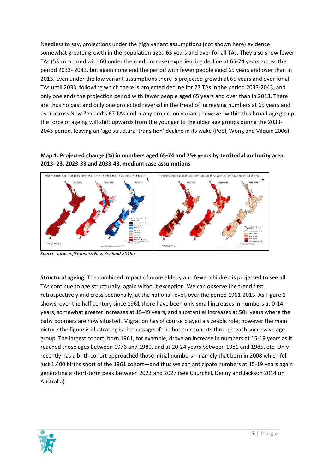Needless to say, projections under the high variant assumptions (not shown here) evidence somewhat greater growth in the population aged 65 years and over for all TAs. They also show fewer TAs (53 compared with 60 under the medium case) experiencing decline at 65-74 years across the period 2033- 2043, but again none end the period with fewer people aged 65 years and over than in 2013. Even under the low variant assumptions there is projected growth at 65 years and over for all TAs until 2033, following which there is projected decline for 27 TAs in the period 2033-2043, and only one ends the projection period with fewer people aged 65 years and over than in 2013. There are thus no past and only one projected reversal in the trend of increasing numbers at 65 years and over across New Zealand's 67 TAs under any projection variant; however within this broad age group the force of ageing will shift upwards from the younger to the older age groups during the 2033- 2043 period, leaving an 'age structural transition' decline in its wake (Pool, Wong and Vilquin 2006).

## **Map 1: Projected change (%) in numbers aged 65-74 and 75+ years by territorial authority area, 2013- 23, 2023-33 and 2033-43, medium case assumptions**



*Source: Jackson/Statistics New Zealand 2015a*

**Structural ageing**: The combined impact of more elderly and fewer children is projected to see all TAs continue to age structurally, again without exception. We can observe the trend first retrospectively and cross-sectionally, at the national level, over the period 1961-2013. As Figure 1 shows, over the half century since 1961 there have been only small increases in numbers at 0-14 years, somewhat greater increases at 15-49 years, and substantial increases at 50+ years where the baby boomers are now situated. Migration has of course played a sizeable role; however the main picture the figure is illustrating is the passage of the boomer cohorts through each successive age group. The largest cohort, born 1961, for example, drove an increase in numbers at 15-19 years as it reached those ages between 1976 and 1980, and at 20-24 years between 1981 and 1985, etc. Only recently has a birth cohort approached those initial numbers—namely that born in 2008 which fell just 1,400 births short of the 1961 cohort—and thus we can anticipate numbers at 15-19 years again generating a short-term peak between 2023 and 2027 (see Churchill, Denny and Jackson 2014 on Australia).

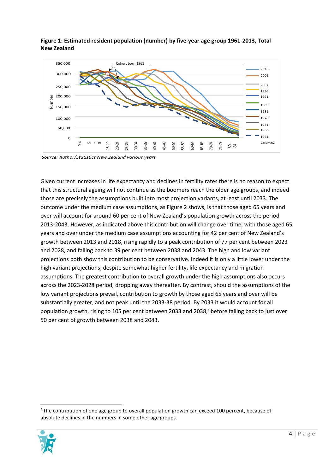

**Figure 1: Estimated resident population (number) by five-year age group 1961-2013, Total New Zealand**

*Source: Author/Statistics New Zealand various years*

Given current increases in life expectancy and declines in fertility rates there is no reason to expect that this structural ageing will not continue as the boomers reach the older age groups, and indeed those are precisely the assumptions built into most projection variants, at least until 2033. The outcome under the medium case assumptions, as Figure 2 shows, is that those aged 65 years and over will account for around 60 per cent of New Zealand's population growth across the period 2013-2043. However, as indicated above this contribution will change over time, with those aged 65 years and over under the medium case assumptions accounting for 42 per cent of New Zealand's growth between 2013 and 2018, rising rapidly to a peak contribution of 77 per cent between 2023 and 2028, and falling back to 39 per cent between 2038 and 2043. The high and low variant projections both show this contribution to be conservative. Indeed it is only a little lower under the high variant projections, despite somewhat higher fertility, life expectancy and migration assumptions. The greatest contribution to overall growth under the high assumptions also occurs across the 2023-2028 period, dropping away thereafter. By contrast, should the assumptions of the low variant projections prevail, contribution to growth by those aged 65 years and over will be substantially greater, and not peak until the 2033-38 period. By 2033 it would account for all population growth, rising to 105 per cent between 2033 and 2038,<sup>4</sup> before falling back to just over 50 per cent of growth between 2038 and 2043. **Example 12**<br>
absolved a solution of the numbers in the numbers in some other and the numbers of the numeral information of the numbers of the numbers of the numbers are precisely the assumptions built into most provide o

<sup>&</sup>lt;sup>4</sup> The contribution of one age group to overall population growth can exceed 100 percent, because of

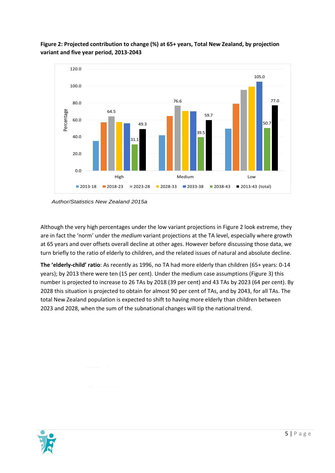

# **Figure 2: Projected contribution to change (%) at 65+ years, Total New Zealand, by projection variant and five year period, 2013-2043**

*Author/Statistics New Zealand 2015a*

Although the very high percentages under the low variant projections in Figure 2 look extreme, they are in fact the 'norm' under the *medium* variant projections at the TA level, especially where growth at 65 years and over offsets overall decline at other ages. However before discussing those data, we turn briefly to the ratio of elderly to children, and the related issues of natural and absolute decline.

**The 'elderly-child' ratio**: As recently as 1996, no TA had more elderly than children (65+ years: 0-14 years); by 2013 there were ten (15 per cent). Under the medium case assumptions (Figure 3) this number is projected to increase to 26 TAs by 2018 (39 per cent) and 43 TAs by 2023 (64 per cent). By 2028 this situation is projected to obtain for almost 90 per cent of TAs, and by 2043, for all TAs. The total New Zealand population is expected to shift to having more elderly than children between 2023 and 2028, when the sum of the subnational changes will tip the nationaltrend.

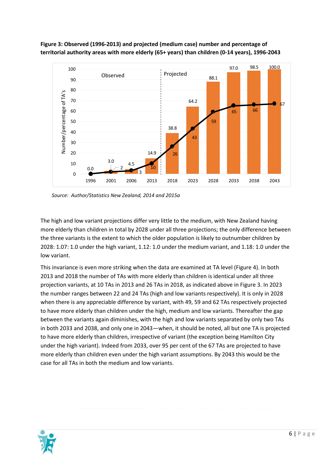

**Figure 3: Observed (1996-2013) and projected (medium case) number and percentage of territorial authority areas with more elderly (65+ years) than children (0-14 years), 1996-2043**

*Source: Author/Statistics New Zealand, 2014 and 2015a*

The high and low variant projections differ very little to the medium, with New Zealand having more elderly than children in total by 2028 under all three projections; the only difference between the three variants is the extent to which the older population is likely to outnumber children by 2028: 1.07: 1.0 under the high variant, 1.12: 1.0 under the medium variant, and 1.18: 1.0 under the low variant.

This invariance is even more striking when the data are examined at TA level (Figure 4). In both 2013 and 2018 the number of TAs with more elderly than children is identical under all three projection variants, at 10 TAs in 2013 and 26 TAs in 2018, as indicated above in Figure 3. In 2023 the number ranges between 22 and 24 TAs (high and low variants respectively). It is only in 2028 when there is any appreciable difference by variant, with 49, 59 and 62 TAs respectively projected to have more elderly than children under the high, medium and low variants. Thereafter the gap between the variants again diminishes, with the high and low variants separated by only two TAs in both 2033 and 2038, and only one in 2043—when, it should be noted, all but one TA is projected to have more elderly than children, irrespective of variant (the exception being Hamilton City under the high variant). Indeed from 2033, over 95 per cent of the 67 TAs are projected to have more elderly than children even under the high variant assumptions. By 2043 this would be the case for all TAs in both the medium and low variants.

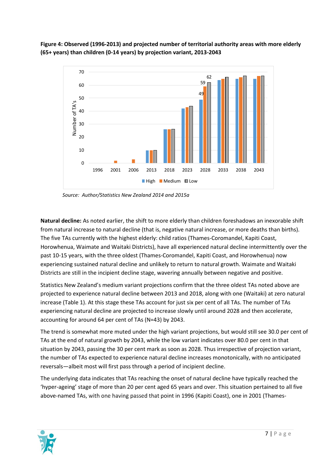**Figure 4: Observed (1996-2013) and projected number of territorial authority areas with more elderly (65+ years) than children (0-14 years) by projection variant, 2013-2043**



*Source: Author/Statistics New Zealand 2014 and 2015a*

**Natural decline:** As noted earlier, the shift to more elderly than children foreshadows an inexorable shift from natural increase to natural decline (that is, negative natural increase, or more deaths than births). The five TAs currently with the highest elderly: child ratios (Thames-Coromandel, Kapiti Coast, Horowhenua, Waimate and Waitaki Districts), have all experienced natural decline intermittently over the past 10-15 years, with the three oldest (Thames-Coromandel, Kapiti Coast, and Horowhenua) now experiencing sustained natural decline and unlikely to return to natural growth. Waimate and Waitaki Districts are still in the incipient decline stage, wavering annually between negative and positive.

Statistics New Zealand's medium variant projections confirm that the three oldest TAs noted above are projected to experience natural decline between 2013 and 2018, along with one (Waitaki) at zero natural increase (Table 1). At this stage these TAs account for just six per cent of all TAs. The number of TAs experiencing natural decline are projected to increase slowly until around 2028 and then accelerate, accounting for around 64 per cent of TAs (N=43) by 2043.

The trend is somewhat more muted under the high variant projections, but would still see 30.0 per cent of TAs at the end of natural growth by 2043, while the low variant indicates over 80.0 per cent in that situation by 2043, passing the 30 per cent mark as soon as 2028. Thus irrespective of projection variant, the number of TAs expected to experience natural decline increases monotonically, with no anticipated reversals—albeit most will first pass through a period of incipient decline.

The underlying data indicates that TAs reaching the onset of natural decline have typically reached the 'hyper-ageing' stage of more than 20 per cent aged 65 years and over. This situation pertained to all five above-named TAs, with one having passed that point in 1996 (Kapiti Coast), one in 2001 (Thames-

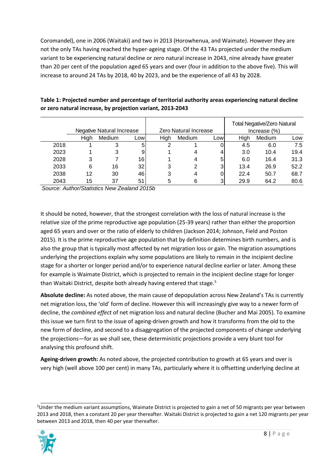Coromandel), one in 2006 (Waitaki) and two in 2013 (Horowhenua, and Waimate). However they are not the only TAs having reached the hyper-ageing stage. Of the 43 TAs projected under the medium variant to be experiencing natural decline or zero natural increase in 2043, nine already have greater than 20 per cent of the population aged 65 years and over (four in addition to the above five). This will increase to around 24 TAs by 2018, 40 by 2023, and be the experience of all 43 by 2028.

| Table 1: Projected number and percentage of territorial authority areas experiencing natural decline |
|------------------------------------------------------------------------------------------------------|
| or zero natural increase, by projection variant, 2013-2043                                           |

|      |      | <b>Negative Natural Increase</b> |      |             | Zero Natural Increase |     |      | <b>Total Negative/Zero Natural</b><br>Increase (%) |      |
|------|------|----------------------------------|------|-------------|-----------------------|-----|------|----------------------------------------------------|------|
|      | High | Medium                           | Lowl | <b>High</b> | Medium                | Low | Hiah | Medium                                             | Low  |
| 2018 |      |                                  | 5    | 2           |                       |     | 4.5  | 6.0                                                | 7.5  |
| 2023 |      |                                  | 9    |             |                       |     | 3.0  | 10.4                                               | 19.4 |
| 2028 | 3    |                                  | 16   |             | 4                     | 5   | 6.0  | 16.4                                               | 31.3 |
| 2033 | 6    | 16                               | 32   | 3           | 2                     | 3   | 13.4 | 26.9                                               | 52.2 |
| 2038 | 12   | 30                               | 46   | 3           | 4                     | 0   | 22.4 | 50.7                                               | 68.7 |
| 2043 | 15   | 37                               | 51   | 5           | 6                     | 3   | 29.9 | 64.2                                               | 80.6 |

*Source: Author/Statistics New Zealand 2015b*

It should be noted, however, that the strongest correlation with the loss of natural increase is the relative size of the prime reproductive age population (25-39 years) rather than either the proportion aged 65 years and over or the ratio of elderly to children (Jackson 2014; Johnson, Field and Poston 2015). It is the prime reproductive age population that by definition determines birth numbers, and is also the group that is typically most affected by net migration loss or gain. The migration assumptions underlying the projections explain why some populations are likely to remain in the incipient decline stage for a shorter or longer period and/or to experience natural decline earlier or later. Among these for example is Waimate District, which is projected to remain in the incipient decline stage for longer than Waitaki District, despite both already having entered that stage.<sup>5</sup>

**Absolute decline:** As noted above, the main cause of depopulation across New Zealand's TAs is currently net migration loss, the 'old' form of decline. However this will increasingly give way to a newer form of decline, the *combined effect* of net migration loss and natural decline (Bucher and Mai 2005). To examine this issue we turn first to the issue of ageing-driven growth and how it transforms from the old to the new form of decline, and second to a disaggregation of the projected components of change underlying the projections—for as we shall see, these deterministic projections provide a very blunt tool for analysing this profound shift.

**Ageing-driven growth:** As noted above, the projected contribution to growth at 65 years and over is very high (well above 100 per cent) in many TAs, particularly where it is offsetting underlying decline at

<sup>&</sup>lt;sup>5</sup>Under the medium variant assumptions, Waimate District is projected to gain a net of 50 migrants per year between 2013 and 2018, then a constant 20 per year thereafter. Waitaki District is projected to gain a net 120 migrants per year between 2013 and 2018, then 40 per year thereafter.

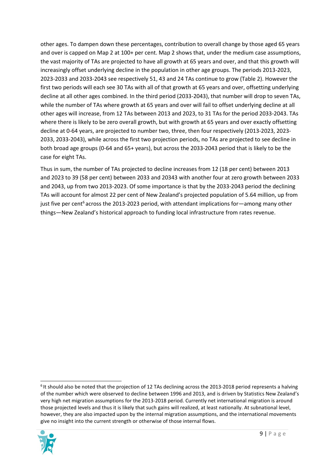other ages. To dampen down these percentages, contribution to overall change by those aged 65 years and over is capped on Map 2 at 100+ per cent. Map 2 shows that, under the medium case assumptions, the vast majority of TAs are projected to have all growth at 65 years and over, and that this growth will increasingly offset underlying decline in the population in other age groups. The periods 2013-2023, 2023-2033 and 2033-2043 see respectively 51, 43 and 24 TAs continue to grow (Table 2). However the first two periods will each see 30 TAs with all of that growth at 65 years and over, offsetting underlying decline at all other ages combined. In the third period (2033-2043), that number will drop to seven TAs, while the number of TAs where growth at 65 years and over will fail to offset underlying decline at all other ages will increase, from 12 TAs between 2013 and 2023, to 31 TAs for the period 2033-2043. TAs where there is likely to be zero overall growth, but with growth at 65 years and over exactly offsetting decline at 0-64 years, are projected to number two, three, then four respectively (2013-2023, 2023- 2033, 2033-2043), while across the first two projection periods, no TAs are projected to see decline in both broad age groups (0-64 and 65+ years), but across the 2033-2043 period that is likely to be the case for eight TAs.

Thus in sum, the number of TAs projected to decline increases from 12 (18 per cent) between 2013 and 2023 to 39 (58 per cent) between 2033 and 20343 with another four at zero growth between 2033 and 2043, up from two 2013-2023. Of some importance is that by the 2033-2043 period the declining TAs will account for almost 22 per cent of New Zealand's projected population of 5.64 million, up from just five per cent<sup>6</sup> across the 2013-2023 period, with attendant implications for—among many other things—New Zealand's historical approach to funding local infrastructure from rates revenue.

<sup>&</sup>lt;sup>6</sup> It should also be noted that the projection of 12 TAs declining across the 2013-2018 period represents a halving of the number which were observed to decline between 1996 and 2013, and is driven by Statistics New Zealand's very high net migration assumptions for the 2013-2018 period. Currently net international migration is around those projected levels and thus it is likely that such gains will realized, at least nationally. At subnational level, however, they are also impacted upon by the internal migration assumptions, and the international movements give no insight into the current strength or otherwise of those internal flows.

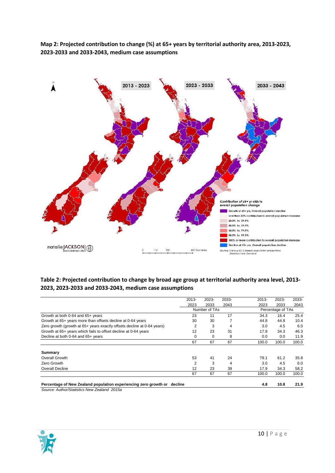**Map 2: Projected contribution to change (%) at 65+ years by territorial authority area, 2013-2023, 2023-2033 and 2033-2043, medium case assumptions**



## **Table 2: Projected contribution to change by broad age group at territorial authority area level, 2013- 2023, 2023-2033 and 2033-2043, medium case assumptions**

| Percentage of New Zealand population experiencing zero growth or decline<br>Source: Author/Statistics New Zealand 2015a |          |               |       | 4.8      | 10.8              | 21.9  |
|-------------------------------------------------------------------------------------------------------------------------|----------|---------------|-------|----------|-------------------|-------|
|                                                                                                                         | 67       | 67            | 67    | 100.0    | 100.0             | 100.0 |
| <b>Overall Decline</b>                                                                                                  | 12       | 23            | 39    | 17.9     | 34.3              | 58.2  |
| Zero Growth                                                                                                             | 2        | 3             | 4     | 3.0      | 4.5               | 6.0   |
| Summary<br>Overall Growth                                                                                               | 53       | 41            | 24    | 79.1     | 61.2              | 35.8  |
|                                                                                                                         | 67       | 67            | 67    | 100.0    | 100.0             | 100.0 |
| Decline at both 0-64 and 65+ years                                                                                      | $\Omega$ | $\Omega$      | 8     | 0.0      | 0.0               | 11.9  |
| Growth at 65+ years which fails to offset decline at 0-64 years                                                         | 12       | 23            | 31    | 17.9     | 34.3              | 46.3  |
| Zero growth (growth at 65+ years exactly offsets decline at 0-64 years)                                                 | 2        | 3             | 4     | 3.0      | 4.5               | 6.0   |
| Growth at 65+ years more than offsets decline at 0-64 years                                                             | 30       | 30            |       | 44.8     | 44.8              | 10.4  |
| Growth at both 0-64 and 65+ years                                                                                       | 23       | 11            | 17    | 34.3     | 16.4              | 25.4  |
|                                                                                                                         |          | Number of TAs |       |          | Percentage of TAs |       |
|                                                                                                                         | 2023     | 2033          | 2043  | 2023     | 2033              | 2043  |
|                                                                                                                         | $2013 -$ | 2023-         | 2033- | $2013 -$ | 2023-             | 2033- |

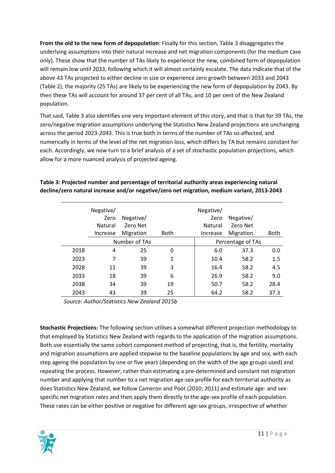**From the old to the new form of depopulation**: Finally for this section, Table 3 disaggregates the underlying assumptions into their natural increase and net migration components (for the medium case only). These show that the number of TAs likely to experience the new, combined form of depopulation will remain low until 2033, following which it will almost certainly escalate. The data indicate that of the above 43 TAs projected to either decline in size or experience zero growth between 2033 and 2043 (Table 2), the majority (25 TAs) are likely to be experiencing the new form of depopulation by 2043. By then these TAs will account for around 37 per cent of all TAs, and 10 per cent of the New Zealand population.

That said, Table 3 also identifies one very important element of this story, and that is that for 39 TAs, the zero/negative migration assumptions underlying the Statistics New Zealand projections are unchanging across the period 2023-2043. This is true both in terms of the number of TAs so-affected, and numerically in terms of the level of the net migration loss, which differs by TA but remains constant for each. Accordingly, we now turn to a brief analysis of a set of stochastic population projections, which allow for a more nuanced analysis of projected ageing.

|      | Negative/ |               |             | Negative/ |                   |             |
|------|-----------|---------------|-------------|-----------|-------------------|-------------|
|      | Zero      | Negative/     |             | Zero      | Negative/         |             |
|      | Natural   | Zero Net      |             | Natural   | Zero Net          |             |
|      | Increase  | Migration     | <b>Both</b> | Increase  | Migration         | <b>Both</b> |
|      |           | Number of TAs |             |           | Percentage of TAs |             |
| 2018 | 4         | 25            | 0           | 6.0       | 37.3              | 0.0         |
| 2023 | 7         | 39            | 1           | 10.4      | 58.2              | 1.5         |
| 2028 | 11        | 39            | 3           | 16.4      | 58.2              | 4.5         |
| 2033 | 18        | 39            | 6           | 26.9      | 58.2              | 9.0         |
| 2038 | 34        | 39            | 19          | 50.7      | 58.2              | 28.4        |
| 2043 | 43        | 39            | 25          | 64.2      | 58.2              | 37.3        |

**Table 3: Projected number and percentage of territorial authority areas experiencing natural decline/zero natural increase and/or negative/zero net migration, medium variant, 2013-2043**

*Source: Author/Statistics New Zealand 2015b*

**Stochastic Projections:** The following section utilises a somewhat different projection methodology to that employed by Statistics New Zealand with regards to the application of the migration assumptions. Both use essentially the same cohort component method of projecting, that is, the fertility, mortality and migration assumptions are applied stepwise to the baseline populations by age and sex, with each step ageing the population by one or five years (depending on the width of the age groups used) and repeating the process. However, rather than estimating a pre-determined and constant net migration number and applying that number to a net migration age-sex profile for each territorial authority as does Statistics New Zealand, we follow Cameron and Poot (2010; 2011) and estimate age- and sexspecific net migration *rates* and then apply them directly to the age-sex profile of each population. These rates can be either positive or negative for different age-sex groups, irrespective of whether

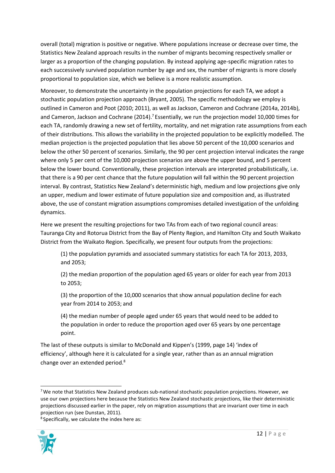overall (total) migration is positive or negative. Where populations increase or decrease over time, the Statistics New Zealand approach results in the number of migrants becoming respectively smaller or larger as a proportion of the changing population. By instead applying age-specific migration rates to each successively survived population number by age and sex, the number of migrants is more closely proportional to population size, which we believe is a more realistic assumption.

Moreover, to demonstrate the uncertainty in the population projections for each TA, we adopt a stochastic population projection approach (Bryant, 2005). The specific methodology we employ is outlined in Cameron and Poot (2010; 2011), as well as Jackson, Cameron and Cochrane (2014a, 2014b), and Cameron, Jackson and Cochrane (2014).<sup>7</sup> Essentially, we run the projection model 10,000 times for each TA, randomly drawing a new set of fertility, mortality, and net migration rate assumptions from each of their distributions. This allows the variability in the projected population to be explicitly modelled. The median projection is the projected population that lies above 50 percent of the 10,000 scenarios and below the other 50 percent of scenarios. Similarly, the 90 per cent projection interval indicates the range where only 5 per cent of the 10,000 projection scenarios are above the upper bound, and 5 percent below the lower bound. Conventionally, these projection intervals are interpreted probabilistically, i.e. that there is a 90 per cent chance that the future population will fall within the 90 percent projection interval. By contrast, Statistics New Zealand's deterministic high, medium and low projections give only an upper, medium and lower estimate of future population size and composition and, as illustrated above, the use of constant migration assumptions compromises detailed investigation of the unfolding dynamics.

Here we present the resulting projections for two TAs from each of two regional council areas: Tauranga City and Rotorua District from the Bay of Plenty Region, and Hamilton City and South Waikato District from the Waikato Region. Specifically, we present four outputs from the projections:

(1) the population pyramids and associated summary statistics for each TA for 2013, 2033, and 2053;

(2) the median proportion of the population aged 65 years or older for each year from 2013 to 2053;

(3) the proportion of the 10,000 scenarios that show annual population decline for each year from 2014 to 2053; and

(4) the median number of people aged under 65 years that would need to be added to the population in order to reduce the proportion aged over 65 years by one percentage point.

The last of these outputs is similar to McDonald and Kippen's (1999, page 14) 'index of efficiency', although here it is calculated for a single year, rather than as an annual migration change over an extended period.8

<sup>8</sup> Specifically, we calculate the index here as:



<sup>&</sup>lt;sup>7</sup> We note that Statistics New Zealand produces sub-national stochastic population projections. However, we use our own projections here because the Statistics New Zealand stochastic projections, like their deterministic projections discussed earlier in the paper, rely on migration assumptions that are invariant over time in each projection run (see Dunstan, 2011).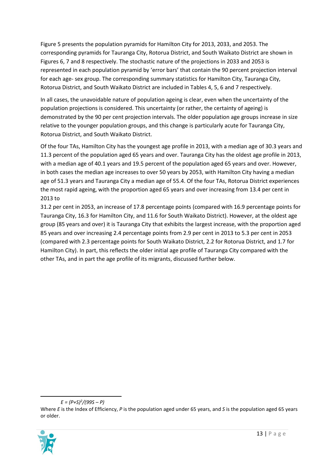Figure 5 presents the population pyramids for Hamilton City for 2013, 2033, and 2053. The corresponding pyramids for Tauranga City, Rotorua District, and South Waikato District are shown in Figures 6, 7 and 8 respectively. The stochastic nature of the projections in 2033 and 2053 is represented in each population pyramid by 'error bars' that contain the 90 percent projection interval for each age- sex group. The corresponding summary statistics for Hamilton City, Tauranga City, Rotorua District, and South Waikato District are included in Tables 4, 5, 6 and 7 respectively.

In all cases, the unavoidable nature of population ageing is clear, even when the uncertainty of the population projections is considered. This uncertainty (or rather, the certainty of ageing) is demonstrated by the 90 per cent projection intervals. The older population age groups increase in size relative to the younger population groups, and this change is particularly acute for Tauranga City, Rotorua District, and South Waikato District.

Of the four TAs, Hamilton City has the youngest age profile in 2013, with a median age of 30.3 years and 11.3 percent of the population aged 65 years and over. Tauranga City has the oldest age profile in 2013, with a median age of 40.1 years and 19.5 percent of the population aged 65 years and over. However, in both cases the median age increases to over 50 years by 2053, with Hamilton City having a median age of 51.3 years and Tauranga City a median age of 55.4. Of the four TAs, Rotorua District experiences the most rapid ageing, with the proportion aged 65 years and over increasing from 13.4 per cent in 2013 to

31.2 per cent in 2053, an increase of 17.8 percentage points (compared with 16.9 percentage points for Tauranga City, 16.3 for Hamilton City, and 11.6 for South Waikato District). However, at the oldest age group (85 years and over) it is Tauranga City that exhibits the largest increase, with the proportion aged 85 years and over increasing 2.4 percentage points from 2.9 per cent in 2013 to 5.3 per cent in 2053 (compared with 2.3 percentage points for South Waikato District, 2.2 for Rotorua District, and 1.7 for Hamilton City). In part, this reflects the older initial age profile of Tauranga City compared with the other TAs, and in part the age profile of its migrants, discussed further below.

Where *E* is the Index of Efficiency, *P* is the population aged under 65 years, and *S* is the population aged 65 years or older.



*E = (P+S)2 /(99S – P)*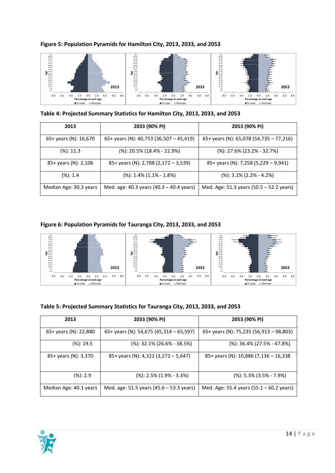

#### **Figure 5: Population Pyramids for Hamilton City, 2013, 2033, and 2053**

**Table 4: Projected Summary Statistics for Hamilton City, 2013, 2033, and 2053**

| 2013                   | 2033 (90% PI)                                                                  | 2053 (90% PI)                            |
|------------------------|--------------------------------------------------------------------------------|------------------------------------------|
| 65+ years (N): 16,670  | 65+ years (N): 40,753 (36,507 - 45,419)                                        | 65+ years (N): 65,078 (54,735 - 77,216)  |
| $(% )$ (%): 11.3       | $(\%): 20.5\% (18.4\% - 22.9\%)$                                               | $(\%): 27.6\% (23.2\% - 32.7\%)$         |
| 85+ years (N): 2,106   | 85+ years (N): 2,788 (2,172 - 3,539)                                           | 85+ years (N): 7,258 (5,229 - 9,941)     |
| $(\%): 1.4$            | $(\%): 1.4\% (1.1\% - 1.8\%)$                                                  | $(\%): 3.1\% (2.2\% - 4.2\%)$            |
| Median Age: 30.3 years | Med. age: 40.3 years $(40.3 - 40.4$ years)                                     | Med. Age: 51.3 years (50.5 - 52.2 years) |
| 80.84                  | Figure 6: Population Pyramids for Tauranga City, 2013, 2033, and 2053<br>80-84 | $85 -$<br>80-84                          |

# **Figure 6: Population Pyramids for Tauranga City, 2013, 2033, and 2053**



#### **Table 5: Projected Summary Statistics for Tauranga City, 2013, 2033, and 2053**

| 2013                   | 2033 (90% PI)                            | 2053 (90% PI)                                      |
|------------------------|------------------------------------------|----------------------------------------------------|
| 65+ years (N): 22,880  | 65+ years (N): 54,675 (45,314 - 65,597)  | 65+ years (N): 75,235 (56,913 - 98,803)            |
| $(\%): 19.5$           | $(\%): 32.1\% (26.6\% - 38.5\%)$         | $(% )$ : 36.4% (27.5% - 47.8%)                     |
| 85+ years (N): 3,370   | 85+ years (N): 4,322 (3,272 - 5,647)     | 85+ years (N): 10,886 (7,136 - 16,338              |
| $(\%): 2.9$            | $(\%): 2.5\% (1.9\% - 3.3\%)$            | $(% )$ : 5.3% $(3.5% - 7.9%)$                      |
| Median Age: 40.1 years | Med. age: 51.5 years (45.6 - 53.3 years) | Med. Age: 55.4 years $(55.1 - 60.2 \text{ years})$ |

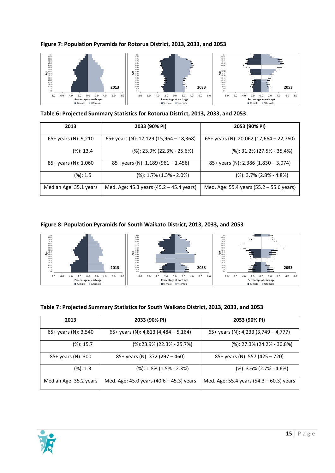

#### **Figure 7: Population Pyramids for Rotorua District, 2013, 2033, and 2053**

**Table 6: Projected Summary Statistics for Rotorua District, 2013, 2033, and 2053**

| 45-49<br>40-44<br>35-39<br>3034<br>25-29<br>$20 - 24$<br>$15 - 19$<br>$10 - 14$<br>5.9<br>6.0<br>2.0<br>8.0<br>4.0<br>2.0<br>0.0<br>Percentage at each age<br>■% male ■%female<br>Table 6: Projected Summary Statistics for Rotorua District, 2013, 2033, and 2053 | 2013<br>4.0<br>6.0<br>8.0 | 45.0<br>40-44<br>35-39<br>30-34<br>25-29<br>$20 - 24$<br>15-19<br>10-14<br>$0 - 4$<br>8.0<br>6.0<br>4.0 | 2.0<br>4.0<br>0.0<br>2.0<br>Percentage at each age<br>■% male ■%female | 2033<br>6.0<br>8.0 | 40-44<br>$35 - 39$<br>30-34<br>$25 - 29$<br>$20 - 24$<br>15-19<br>$10 - 14$<br>$0 - 4$<br>8.0<br>6.0 | 2053<br>2.0<br>2.0<br>6.0<br>8.0<br>4.0<br>0.0<br>4.0<br>Percentage at each age<br>■% male ■%female |
|--------------------------------------------------------------------------------------------------------------------------------------------------------------------------------------------------------------------------------------------------------------------|---------------------------|---------------------------------------------------------------------------------------------------------|------------------------------------------------------------------------|--------------------|------------------------------------------------------------------------------------------------------|-----------------------------------------------------------------------------------------------------|
| 2013                                                                                                                                                                                                                                                               |                           | 2033 (90% PI)                                                                                           |                                                                        |                    |                                                                                                      | 2053 (90% PI)                                                                                       |
| 65+ years (N): 9,210                                                                                                                                                                                                                                               |                           | 65+ years (N): 17,129 (15,964 - 18,368)                                                                 |                                                                        |                    |                                                                                                      | 65+ years (N): 20,062 (17,664 - 22,760)                                                             |
| $(% )$ (%): 13.4                                                                                                                                                                                                                                                   |                           | $(\%): 23.9\% (22.3\% - 25.6\%)$                                                                        |                                                                        |                    |                                                                                                      | $(\%): 31.2\% (27.5\% - 35.4\%)$                                                                    |
| 85+ years (N): 1,060                                                                                                                                                                                                                                               |                           | 85+ years (N): 1,189 (961 - 1,456)                                                                      |                                                                        |                    |                                                                                                      | 85+ years (N): 2,386 (1,830 - 3,074)                                                                |
| $(% )$ (%): 1.5                                                                                                                                                                                                                                                    |                           | $(\%): 1.7\%$ (1.3% - 2.0%)                                                                             |                                                                        |                    |                                                                                                      | $(\%): 3.7\%$ (2.8% - 4.8%)                                                                         |
| Median Age: 35.1 years                                                                                                                                                                                                                                             |                           | Med. Age: 45.3 years (45.2 – 45.4 years)                                                                |                                                                        |                    |                                                                                                      | Med. Age: 55.4 years (55.2 – 55.6 years)                                                            |
| Figure 8: Population Pyramids for South Waikato District, 2013, 2033, and 2053<br>80.84<br>75-79<br>70-74<br>55.50<br>50-54<br><b>8</b> 45-49<br>40.44                                                                                                             |                           | 80.84<br>45-45<br>ACDA                                                                                  |                                                                        |                    | 8084<br>75-79<br>70.74<br>45-49<br>40.41                                                             |                                                                                                     |

**Figure 8: Population Pyramids for South Waikato District, 2013, 2033, and 2053**



| Table 7: Projected Summary Statistics for South Waikato District, 2013, 2033, and 2053 |  |  |  |
|----------------------------------------------------------------------------------------|--|--|--|
|----------------------------------------------------------------------------------------|--|--|--|

| 2013                   | 2033 (90% PI)                              | 2053 (90% PI)                            |
|------------------------|--------------------------------------------|------------------------------------------|
| 65+ years (N): 3,540   | 65+ years (N): 4,813 (4,484 – 5,164)       | 65+ years (N): 4,233 (3,749 – 4,777)     |
| $(\%): 15.7$           | $(% )$ :23.9% (22.3% - 25.7%)              | $(\%)$ : 27.3% (24.2% - 30.8%)           |
| 85+ years (N): 300     | 85+ years (N): 372 (297 - 460)             | 85+ years (N): 557 (425 - 720)           |
| $(\%): 1.3$            | $(\%): 1.8\% (1.5\% - 2.3\%)$              | $(% )$ : 3.6% $(2.7% - 4.6%)$            |
| Median Age: 35.2 years | Med. Age: 45.0 years $(40.6 - 45.3)$ years | Med. Age: 55.4 years (54.3 - 60.3) years |

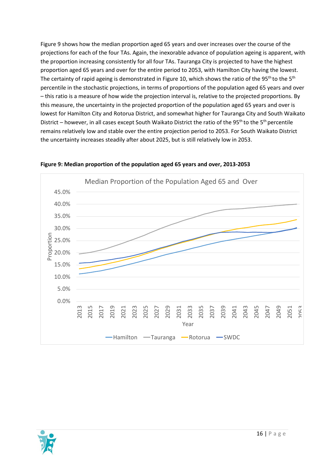Figure 9 shows how the median proportion aged 65 years and over increases over the course of the projections for each of the four TAs. Again, the inexorable advance of population ageing is apparent, with the proportion increasing consistently for all four TAs. Tauranga City is projected to have the highest proportion aged 65 years and over for the entire period to 2053, with Hamilton City having the lowest. The certainty of rapid ageing is demonstrated in Figure 10, which shows the ratio of the 95<sup>th</sup> to the 5<sup>th</sup> percentile in the stochastic projections, in terms of proportions of the population aged 65 years and over – this ratio is a measure of how wide the projection interval is, relative to the projected proportions. By this measure, the uncertainty in the projected proportion of the population aged 65 years and over is lowest for Hamilton City and Rotorua District, and somewhat higher for Tauranga City and South Waikato District – however, in all cases except South Waikato District the ratio of the 95<sup>th</sup> to the 5<sup>th</sup> percentile remains relatively low and stable over the entire projection period to 2053. For South Waikato District the uncertainty increases steadily after about 2025, but is still relatively low in 2053.



**Figure 9: Median proportion of the population aged 65 years and over, 2013-2053**

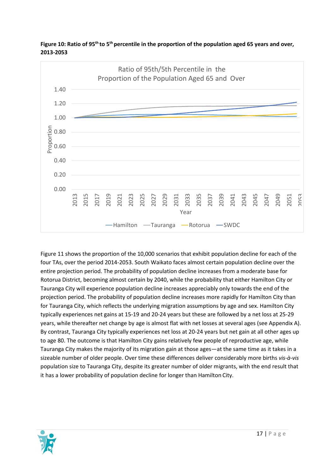

Figure 10: Ratio of 95<sup>th</sup> to 5<sup>th</sup> percentile in the proportion of the population aged 65 years and over, **2013-2053**

Figure 11 shows the proportion of the 10,000 scenarios that exhibit population decline for each of the four TAs, over the period 2014-2053. South Waikato faces almost certain population decline over the entire projection period. The probability of population decline increases from a moderate base for Rotorua District, becoming almost certain by 2040, while the probability that either Hamilton City or Tauranga City will experience population decline increases appreciably only towards the end of the projection period. The probability of population decline increases more rapidly for Hamilton City than for Tauranga City, which reflects the underlying migration assumptions by age and sex. Hamilton City typically experiences net gains at 15-19 and 20-24 years but these are followed by a net loss at 25-29 years, while thereafter net change by age is almost flat with net losses at several ages (see Appendix A). By contrast, Tauranga City typically experiences net loss at 20-24 years but net gain at all other ages up to age 80. The outcome is that Hamilton City gains relatively few people of reproductive age, while Tauranga City makes the majority of its migration gain at those ages—at the same time as it takes in a sizeable number of older people. Over time these differences deliver considerably more births *vis-à-vis*  population size to Tauranga City, despite its greater number of older migrants, with the end result that it has a lower probability of population decline for longer than Hamilton City.

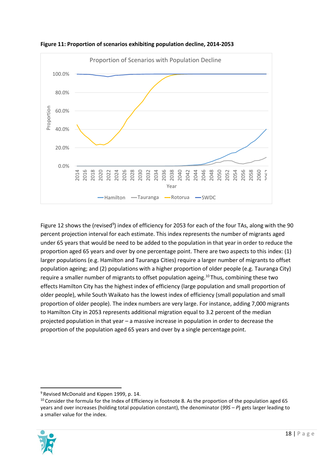

**Figure 11: Proportion of scenarios exhibiting population decline, 2014-2053**

Figure 12 shows the (revised<sup>9</sup>) index of efficiency for 2053 for each of the four TAs, along with the 90 percent projection interval for each estimate. This index represents the number of migrants aged under 65 years that would be need to be added to the population in that year in order to reduce the proportion aged 65 years and over by one percentage point. There are two aspects to this index: (1) larger populations (e.g. Hamilton and Tauranga Cities) require a larger number of migrants to offset population ageing; and (2) populations with a higher proportion of older people (e.g. Tauranga City) require a smaller number of migrants to offset population ageing.<sup>10</sup> Thus, combining these two effects Hamilton City has the highest index of efficiency (large population and small proportion of older people), while South Waikato has the lowest index of efficiency (small population and small proportion of older people). The index numbers are very large. For instance, adding 7,000 migrants to Hamilton City in 2053 represents additional migration equal to 3.2 percent of the median projected population in that year – a massive increase in population in order to decrease the proportion of the population aged 65 years and over by a single percentage point.

 $10$  Consider the formula for the Index of Efficiency in footnote 8. As the proportion of the population aged 65 years and over increases (holding total population constant), the denominator (*99S – P*) gets larger leading to a smaller value for the index.



<sup>&</sup>lt;sup>9</sup> Revised McDonald and Kippen 1999, p. 14.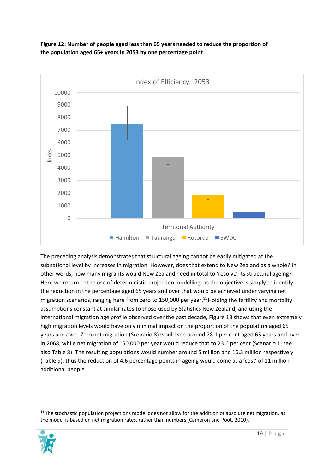

**Figure 12: Number of people aged less than 65 years needed to reduce the proportion of the population aged 65+ years in 2053 by one percentage point**

The preceding analysis demonstrates that structural ageing cannot be easily mitigated at the subnational level by increases in migration. However, does that extend to New Zealand as a whole? In other words, how many migrants would New Zealand need in total to 'resolve' its structural ageing? Here we return to the use of deterministic projection modelling, as the objective is simply to identify the reduction in the percentage aged 65 years and over that would be achieved under varying net migration scenarios, ranging here from zero to 150,000 per year.<sup>11</sup> Holding the fertility and mortality assumptions constant at similar rates to those used by Statistics New Zealand, and using the international migration age profile observed over the past decade, Figure 13 shows that even extremely high migration levels would have only minimal impact on the proportion of the population aged 65 years and over. Zero net migration (Scenario 8) would see around 28.1 per cent aged 65 years and over in 2068, while net migration of 150,000 per year would reduce that to 23.6 per cent (Scenario 1, see also Table 8). The resulting populations would number around 5 million and 16.3 million respectively (Table 9), thus the reduction of 4.6 percentage points in ageing would come at a 'cost' of 11 million additional people.

 $11$  The stochastic population projections model does not allow for the addition of absolute net migration, as the model is based on net migration rates, rather than numbers (Cameron and Poot, 2010).

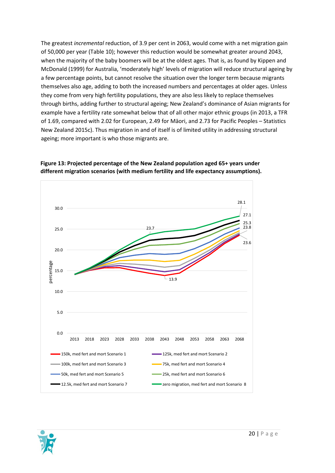The greatest *incremental* reduction, of 3.9 per cent in 2063, would come with a net migration gain of 50,000 per year (Table 10); however this reduction would be somewhat greater around 2043, when the majority of the baby boomers will be at the oldest ages. That is, as found by Kippen and McDonald (1999) for Australia, 'moderately high' levels of migration will reduce structural ageing by a few percentage points, but cannot resolve the situation over the longer term because migrants themselves also age, adding to both the increased numbers and percentages at older ages. Unless they come from very high fertility populations, they are also less likely to replace themselves through births, adding further to structural ageing; New Zealand's dominance of Asian migrants for example have a fertility rate somewhat below that of all other major ethnic groups (in 2013, a TFR of 1.69, compared with 2.02 for European, 2.49 for Māori, and 2.73 for Pacific Peoples – Statistics New Zealand 2015c). Thus migration in and of itself is of limited utility in addressing structural ageing; more important is who those migrants are.



**Figure 13: Projected percentage of the New Zealand population aged 65+ years under different migration scenarios (with medium fertility and life expectancy assumptions).**

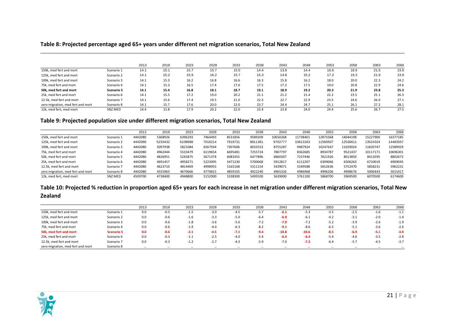#### **Table 8: Projected percentage aged 65+ years under different net migration scenarios, Total New Zealand**

|                                   |                | 2013 | 2018 | 2023 | 2028 | 2033 | 2038 | 2043 | 2048 | 2053 | 2058 | 2063 | 2068 |
|-----------------------------------|----------------|------|------|------|------|------|------|------|------|------|------|------|------|
| 150k, med fert and mort           | Scenario 1     | 14.1 | 15.1 | 15.7 | 15.7 | 15.0 | 14.4 | 13.9 | 14.4 | 16.6 | 18.9 | 21.5 | 23.6 |
| 125k. med fert and mort           | Scenario 2     | 14.1 | 15.2 | 15.9 | 16.2 | 15.7 | 15.3 | 14.8 | 15.2 | 17.2 | 19.3 | 21.9 | 23.8 |
| 100k, med fert and mort           | Scenario 3     | 14.1 | 15.3 | 16.2 | 16.8 | 16.6 | 16.3 | 15.8 | 16.2 | 18.0 | 20.0 | 22.3 | 24.2 |
| 75k, med fert and mort            | Scenario 4     | 14.1 | 15.3 | 16.5 | 17.4 | 17.6 | 17.5 | 17.2 | 17.5 | 19.0 | 20.8 | 22.9 | 24.6 |
| 50k. med fert and mort            | Scenario 5     | 14.1 | 15.4 | 16.8 | 18.1 | 18.7 | 19.1 | 18.9 | 19.2 | 20.3 | 21.9 | 23.8 | 25.3 |
| 25k, med fert and mort            | Scenario 6     | 14.1 | 15.5 | 17.2 | 19.0 | 20.2 | 21.1 | 21.2 | 21.4 | 22.2 | 23.5 | 25.1 | 26.3 |
| 12.5k, med fert and mort          | Scenario 7     | 14.1 | 15.6 | 17.4 | 19.5 | 21.0 | 22.3 | 22.7 | 22.9 | 23.5 | 24.6 | 26.0 | 27.1 |
| zero migration, med fert and mort | Scenario 8     | 14.1 | 15.7 | 17.6 | 20.0 | 22.0 | 23.7 | 24.4 | 24.7 | 25.1 | 26.1 | 27.2 | 28.1 |
| 12k, med fert, med mort           | <b>SNZ MED</b> | 14.4 | 15.8 | 17.9 | 20.2 | 22.0 | 23.4 | 23.8 | 24.0 | 24.4 | 25.6 | 26.7 | 27.5 |

### **Table 9: Projected population size under different migration scenarios, Total New Zealand**

|                                   |                | 2013    | 2018    | 2023    | 2028    | 2033    | 2038    | 2043     | 2048     | 2053     | 2058     | 2063     | 2068     |
|-----------------------------------|----------------|---------|---------|---------|---------|---------|---------|----------|----------|----------|----------|----------|----------|
| 150k, med fert and mort           | Scenario 1     | 4442080 | 5368926 | 6396293 | 7464493 | 8531856 | 9589209 | 10650268 | 11738401 | 12873368 | 14044198 | 15227900 | 16377185 |
| 125k, med fert and mort           | Scenario 2     | 4442080 | 5233432 | 6108688 | 7016214 | 7919731 | 8811381 | 9702777  | 10613163 | 11560507 | 12536611 | 13524324 | 14483557 |
| 100k, med fert and mort           | Scenario 3     | 4442080 | 5097938 | 5821084 | 6567934 | 7307606 | 8033553 | 8755287  | 9487924  | 10247647 | 11029024 | 11820747 | 12589929 |
| 75k, med fert and mort            | Scenario 4     | 4442080 | 4962444 | 5533479 | 6119654 | 6695481 | 7255724 | 7807797  | 8362685  | 8934787  | 9521437  | 10117171 | 10696301 |
| 50k, med fert and mort            | Scenario 5     | 4442080 | 4826951 | 5245875 | 5671374 | 6083355 | 6477896 | 6860307  | 7237446  | 7621926  | 8013850  | 8413595  | 8802673  |
| 25k, med fert and mort            | Scenario 6     | 4442080 | 4691457 | 4958271 | 5223095 | 5471230 | 5700068 | 5912817  | 6112207  | 6309066  | 6506263  | 6710019  | 6909045  |
| 12.5k, med fert and mort          | Scenario 7     | 4442080 | 4623710 | 4814469 | 4998955 | 5165168 | 5311154 | 5439071  | 5549588  | 5652636  | 5752470  | 5858231  | 5962231  |
| zero migration, med fert and mort | Scenario 8     | 4442080 | 4555963 | 4670666 | 4774815 | 4859105 | 4922240 | 4965326  | 4986968  | 4996206  | 4998676  | 5006443  | 5015417  |
| 12k, med fert, med mort           | <b>SNZ MED</b> | 4509700 | 4738400 | 4948800 | 5152900 | 5338300 | 5499100 | 5639000  | 5761100  | 5868700  | 5969500  | 6070500  | 6174600  |

## **Table 10: Projected % reduction in proportion aged 65+ years for each increase in net migration under different migration scenarios, Total New Zealand**

|                                   |                   | 2013     | 2018     | 2023     | 2028     | 2033     | 2038     | 2043     | 2048    | 2053     | 2058     | 2063     | 2068     |
|-----------------------------------|-------------------|----------|----------|----------|----------|----------|----------|----------|---------|----------|----------|----------|----------|
| 150k, med fert and mort           | Scenario 1        | 0.0      | $-0.5$   | $-1.5$   | $-3.0$   | $-4.5$   | $-5.7$   | $-6.1$   | $-5.3$  | $-3.5$   | $-2.5$   | $-1.6$   | $-1.1$   |
| 125k, med fert and mort           | Scenario 2        | 0.0      | $-0.6$   | $-1.6$   | $-3.3$   | $-5.0$   | $-6.4$   | $-6.9$   | $-6.1$  | $-4.2$   | $-3.1$   | $-2.0$   | $-1.4$   |
| 100k, med fert and mort           | Scenario 3        | 0.0      | $-0.6$   | $-1.8$   | $-3.6$   | $-5.6$   | $-7.2$   | $-7.9$   | $-7.2$  | $-5.2$   | $-3.9$   | $-2.6$   | $-1.9$   |
| 75k, med fert and mort            | Scenario 4        | 0.0      | $-0.6$   | $-1.9$   | $-4.0$   | $-6.3$   | $-8.2$   | $-9.1$   | $-8.6$  | $-6.5$   | $-5.1$   | $-3.6$   | $-2.6$   |
| 50k, med fert and mort            | <b>Scenario 5</b> | 0.0      | $-0.6$   | $-2.1$   | $-4.5$   | $-7.1$   | $-9.4$   | $-10.8$  | $-10.6$ | $-8.5$   | $-6.9$   | $-5.1$   | $-3.9$   |
| 25k. med fert and mort            | Scenario 6        | 0.0      | $-0.3$   | $-1.1$   | $-2.5$   | $-4.0$   | $-5.4$   | $-6.4$   | $-6.4$  | $-5.4$   | $-4.6$   | $-3.5$   | $-2.8$   |
| 12.5k, med fert and mort          | Scenario 7        | 0.0      | $-0.3$   | $-1.2$   | $-2.7$   | $-4.3$   | $-5.9$   | $-7.0$   | $-7.3$  | $-6.4$   | $-5.7$   | $-4.5$   | $-3.7$   |
| zero migration, med fert and mort | Scenario 8        | $\cdots$ | $\cdots$ | $\cdots$ | $\cdots$ | $\cdots$ | $\cdots$ | $\cdots$ |         | $\cdots$ | $\cdots$ | $\cdots$ | $\cdots$ |

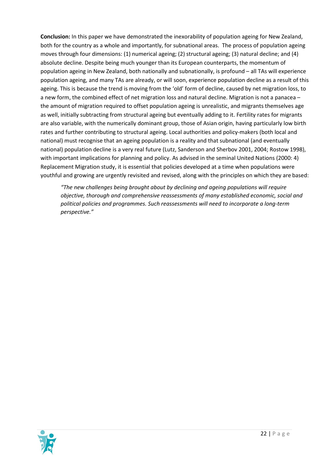**Conclusion:** In this paper we have demonstrated the inexorability of population ageing for New Zealand, both for the country as a whole and importantly, for subnational areas. The process of population ageing moves through four dimensions: (1) numerical ageing; (2) structural ageing; (3) natural decline; and (4) absolute decline. Despite being much younger than its European counterparts, the momentum of population ageing in New Zealand, both nationally and subnationally, is profound – all TAs will experience population ageing, and many TAs are already, or will soon, experience population decline as a result of this ageing. This is because the trend is moving from the 'old' form of decline, caused by net migration loss, to a new form, the combined effect of net migration loss and natural decline. Migration is not a panacea – the amount of migration required to offset population ageing is unrealistic, and migrants themselves age as well, initially subtracting from structural ageing but eventually adding to it. Fertility rates for migrants are also variable, with the numerically dominant group, those of Asian origin, having particularly low birth rates and further contributing to structural ageing. Local authorities and policy-makers (both local and national) must recognise that an ageing population is a reality and that subnational (and eventually national) population decline is a very real future (Lutz, Sanderson and Sherbov 2001, 2004; Rostow 1998), with important implications for planning and policy. As advised in the seminal United Nations (2000: 4) Replacement Migration study, it is essential that policies developed at a time when populations were youthful and growing are urgently revisited and revised, along with the principles on which they are based:

*"The new challenges being brought about by declining and ageing populations will require objective, thorough and comprehensive reassessments of many established economic, social and political policies and programmes. Such reassessments will need to incorporate a long-term perspective."*

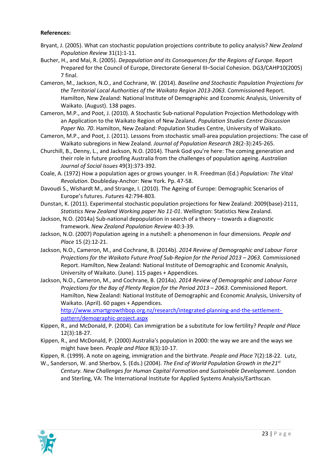#### **References:**

- Bryant, J. (2005). What can stochastic population projections contribute to policy analysis? *New Zealand Population Review* 31(1):1-11.
- Bucher, H., and Mai, R. (2005). *Depopulation and its Consequences for the Regions of Europe*. Report Prepared for the Council of Europe, Directorate General III–Social Cohesion. DG3/CAHP10(2005) 7 final.
- Cameron, M., Jackson, N.O., and Cochrane, W. (2014). *Baseline and Stochastic Population Projections for the Territorial Local Authorities of the Waikato Region 2013-2063.* Commissioned Report. Hamilton, New Zealand: National Institute of Demographic and Economic Analysis, University of Waikato. (August). 138 pages.
- Cameron, M.P., and Poot, J. (2010). A Stochastic Sub-national Population Projection Methodology with an Application to the Waikato Region of New Zealand. *Population Studies Centre Discussion Paper No. 70*. Hamilton, New Zealand: Population Studies Centre, University of Waikato.
- Cameron, M.P., and Poot, J. (2011). Lessons from stochastic small-area population projections: The case of Waikato subregions in New Zealand. *Journal of Population Research* 28(2-3):245-265.
- Churchill, B., Denny, L., and Jackson, N.O. (2014). Thank God you're here: The coming generation and their role in future proofing Australia from the challenges of population ageing. *Australian Journal of Social Issues* 49(3):373-392.
- Coale, A. (1972) How a population ages or grows younger. In R. Freedman (Ed.) *Population: The Vital Revolution*. Doubleday-Anchor: New York. Pp. 47-58.
- Davoudi S., Wishardt M., and Strange, I. (2010). The Ageing of Europe: Demographic Scenarios of Europe's futures. *Futures* 42:794-803.
- Dunstan, K. (2011). Experimental stochastic population projections for New Zealand: 2009(base)-2111, *Statistics New Zealand Working paper No 11-01*. Wellington: Statistics New Zealand.
- Jackson, N.O. (2014a) Sub-national depopulation in search of a theory towards a diagnostic framework. *New Zealand Population Review* 40:3-39.
- Jackson, N.O. (2007) Population ageing in a nutshell: a phenomenon in four dimensions. *People and Place* 15 (2):12-21.
- Jackson, N.O., Cameron, M., and Cochrane, B. (2014b). *2014 Review of Demographic and Labour Force Projections for the Waikato Future Proof Sub-Region for the Period 2013 – 2063.* Commissioned Report. Hamilton, New Zealand: National Institute of Demographic and Economic Analysis, University of Waikato. (June). 115 pages + Appendices.
- Jackson, N.O., Cameron, M., and Cochrane, B. (2014a). *2014 Review of Demographic and Labour Force Projections for the Bay of Plenty Region for the Period 2013 – 2063*. Commissioned Report. Hamilton, New Zealand: National Institute of Demographic and Economic Analysis, University of Waikato. (April). 60 pages + Appendices. [http://www.smartgrowthbop.org.nz/research/integrated-planning-and-the-settlement](http://www.smartgrowthbop.org.nz/research/integrated-planning-and-the-settlement-pattern/demographic-project.aspx)[pattern/demographic-project.aspx](http://www.smartgrowthbop.org.nz/research/integrated-planning-and-the-settlement-pattern/demographic-project.aspx)
- Kippen, R., and McDonald, P. (2004). Can immigration be a substitute for low fertility? *People and Place* 12(3):18-27.
- Kippen, R., and McDonald, P. (2000) Australia's population in 2000: the way we are and the ways we might have been. *People and Place* 8(3):10-17.
- Kippen, R. (1999). A note on ageing, immigration and the birthrate. *People and Place* 7(2):18-22. Lutz,
- W., Sanderson, W. and Sherbov, S. (Eds.) (2004). *The End of World Population Growth in the21st Century. New Challenges for Human Capital Formation and Sustainable Development*. London and Sterling, VA: The International Institute for Applied Systems Analysis/Earthscan.

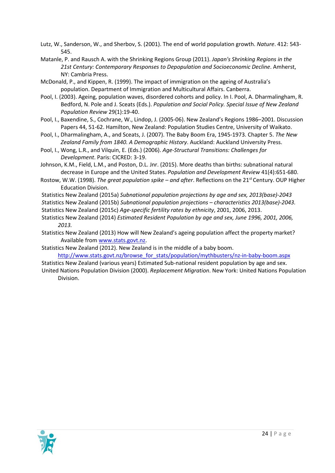- Lutz, W., Sanderson, W., and Sherbov, S. (2001). The end of world population growth. *Nature*. 412: 543- 545.
- Matanle, P. and Rausch A. with the Shrinking Regions Group (2011). *Japan's Shrinking Regions in the 21st Century: Contemporary Responses to Depopulation and Socioeconomic Decline*. Amherst, NY: Cambria Press.
- McDonald, P., and Kippen, R. (1999). The impact of immigration on the ageing of Australia's population. Department of Immigration and Multicultural Affairs. Canberra.
- Pool, I. (2003). Ageing, population waves, disordered cohorts and policy. In I. Pool, A. Dharmalingham, R. Bedford, N. Pole and J. Sceats (Eds.). *Population and Social Policy. Special Issue of New Zealand Population Review* 29(1):19-40.
- Pool, I., Baxendine, S., Cochrane, W., Lindop, J. (2005-06). New Zealand's Regions 1986–2001. Discussion Papers 44, 51-62. Hamilton, New Zealand: Population Studies Centre, University of Waikato.
- Pool, I., Dharmalingham, A., and Sceats, J. (2007). The Baby Boom Era, 1945-1973. Chapter 5. *The New Zealand Family from 1840. A Demographic History*. Auckland: Auckland University Press.
- Pool, I., Wong, L.R., and Vilquin, E. (Eds.) (2006). *Age-Structural Transitions: Challenges for Development*. Paris: CICRED: 3-19.
- Johnson, K.M., Field, L.M., and Poston, D.L. Jnr. (2015). More deaths than births: subnational natural decrease in Europe and the United States. *Population and Development Review* 41(4):651-680.
- Rostow, W.W. (1998). *The great population spike – and after*. Reflections on the 21st Century. OUP Higher Education Division.
- Statistics New Zealand (2015a) *Subnational population projections by age and sex, 2013(base)-2043*
- *S*tatistics New Zealand (2015b) *Subnational population projections – characteristics 2013(base)-2043.*
- Statistics New Zealand (2015c) *Age-specific fertility rates by ethnicity*, 2001, 2006, 2013.
- Statistics New Zealand (2014) *Estimated Resident Population by age and sex, June 1996, 2001, 2006, 2013.*
- Statistics New Zealand (2013) How will New Zealand's ageing population affect the property market? Available from [www.stats.govt.nz.](http://www.stats.govt.nz/)
- Statistics New Zealand (2012). New Zealand is in the middle of a baby boom.

[http://www.stats.govt.nz/browse\\_for\\_stats/population/mythbusters/nz-in-baby-boom.aspx](http://www.stats.govt.nz/browse_for_stats/population/mythbusters/nz-in-baby-boom.aspx)

Statistics New Zealand (various years) Estimated Sub-national resident population by age and sex. United Nations Population Division (2000). *Replacement Migration*. New York: United Nations Population

Division.